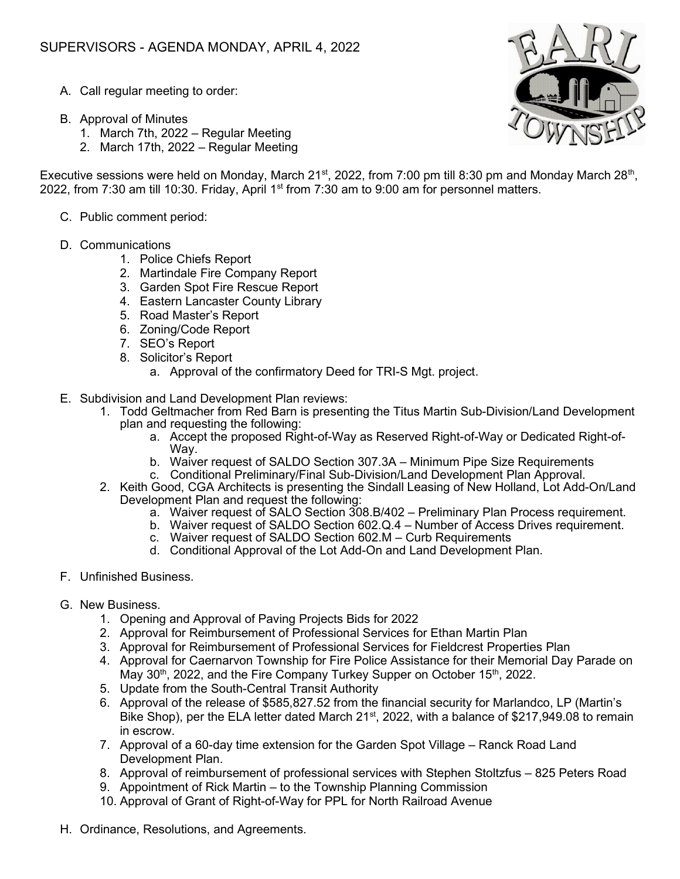- A. Call regular meeting to order:
- B. Approval of Minutes
	- 1. March 7th, 2022 Regular Meeting
	- 2. March 17th, 2022 Regular Meeting

Executive sessions were held on Monday, March 21<sup>st</sup>, 2022, from 7:00 pm till 8:30 pm and Monday March 28<sup>th</sup>, 2022, from 7:30 am till 10:30. Friday, April 1<sup>st</sup> from 7:30 am to 9:00 am for personnel matters.

- C. Public comment period:
- D. Communications
	- 1. Police Chiefs Report
	- 2. Martindale Fire Company Report
	- 3. Garden Spot Fire Rescue Report
	- 4. Eastern Lancaster County Library
	- 5. Road Master's Report
	- 6. Zoning/Code Report
	- 7. SEO's Report
	- 8. Solicitor's Report
		- a. Approval of the confirmatory Deed for TRI-S Mgt. project.
- E. Subdivision and Land Development Plan reviews:
	- 1. Todd Geltmacher from Red Barn is presenting the Titus Martin Sub-Division/Land Development plan and requesting the following:
		- a. Accept the proposed Right-of-Way as Reserved Right-of-Way or Dedicated Right-of-Way.
		- b. Waiver request of SALDO Section 307.3A Minimum Pipe Size Requirements
		- c. Conditional Preliminary/Final Sub-Division/Land Development Plan Approval.
	- 2. Keith Good, CGA Architects is presenting the Sindall Leasing of New Holland, Lot Add-On/Land Development Plan and request the following:
		- a. Waiver request of SALO Section 308.B/402 Preliminary Plan Process requirement.
		- b. Waiver request of SALDO Section 602.Q.4 Number of Access Drives requirement.
		- c. Waiver request of SALDO Section 602.M Curb Requirements
		- d. Conditional Approval of the Lot Add-On and Land Development Plan.
- F. Unfinished Business.
- G. New Business.
	- 1. Opening and Approval of Paving Projects Bids for 2022
	- 2. Approval for Reimbursement of Professional Services for Ethan Martin Plan
	- 3. Approval for Reimbursement of Professional Services for Fieldcrest Properties Plan
	- 4. Approval for Caernarvon Township for Fire Police Assistance for their Memorial Day Parade on May  $30<sup>th</sup>$ , 2022, and the Fire Company Turkey Supper on October 15<sup>th</sup>, 2022.
	- 5. Update from the South-Central Transit Authority
	- 6. Approval of the release of \$585,827.52 from the financial security for Marlandco, LP (Martin's Bike Shop), per the ELA letter dated March 21<sup>st</sup>, 2022, with a balance of \$217,949.08 to remain in escrow.
	- 7. Approval of a 60-day time extension for the Garden Spot Village Ranck Road Land Development Plan.
	- 8. Approval of reimbursement of professional services with Stephen Stoltzfus 825 Peters Road
	- 9. Appointment of Rick Martin to the Township Planning Commission
	- 10. Approval of Grant of Right-of-Way for PPL for North Railroad Avenue
- H. Ordinance, Resolutions, and Agreements.